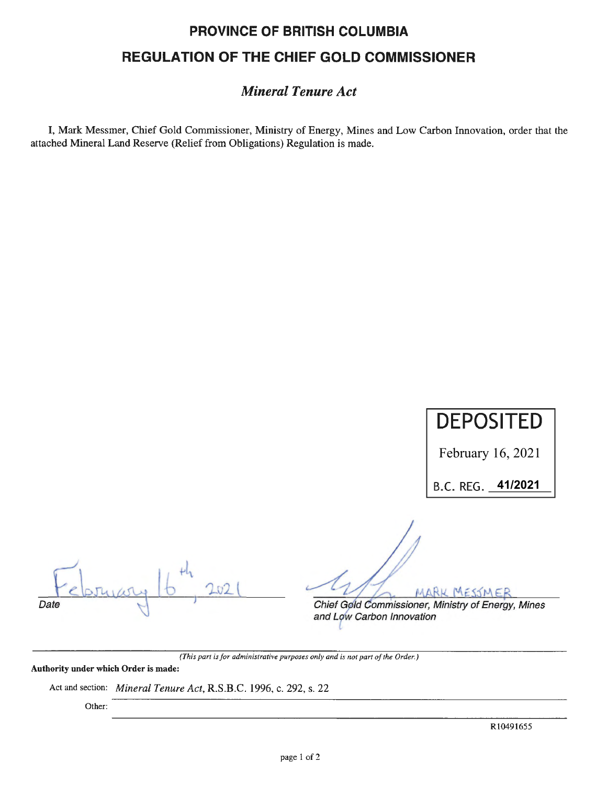## **PROVINCE OF BRITISH COLUMBIA REGULATION OF THE CHIEF GOLD COMMISSIONER**

### *Mineral Tenure Act*

I, Mark Messmer, Chief Gold Commissioner, Ministry of Energy, Mines and Low Carbon Innovation, order that the attached Mineral Land Reserve (Relief from Obligations) Regulation is made.

# **DEPOSITED**

February 16, 2021

B.C. REG. <u>41/2021</u>

Date

MARK

Chief Gold Commissioner, Ministry of Energy, Mines and Low Carbon Innovation

*(This part is for administrative purposes only and is not part of the Order.)* 

**Authority under which Order** is **made:** 

Act and section: *Mineral Tenure Act,* R.S.B.C. 1996, c. 292, s. 22

Other: